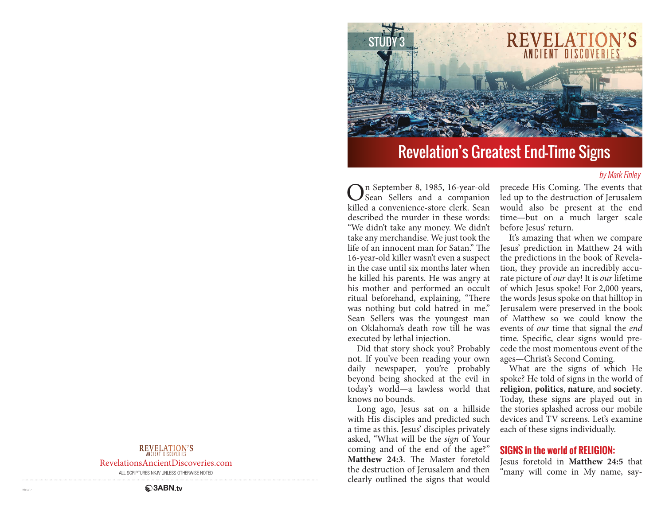

# Revelation's Greatest End-Time Signs

#### by Mark Finley

n September 8, 1985, 16-year-old Sean Sellers and a companion killed a convenience-store clerk. Sean described the murder in these words: "We didn't take any money. We didn't take any merchandise. We just took the life of an innocent man for Satan." The 16-year-old killer wasn't even a suspect in the case until six months later when he killed his parents. He was angry at his mother and performed an occult ritual beforehand, explaining, "There was nothing but cold hatred in me." Sean Sellers was the youngest man on Oklahoma's death row till he was executed by lethal injection.

Did that story shock you? Probably not. If you've been reading your own daily newspaper, you're probably beyond being shocked at the evil in today's world—a lawless world that knows no bounds.

Long ago, Jesus sat on a hillside with His disciples and predicted such a time as this. Jesus' disciples privately asked, "What will be the *sign* of Your coming and of the end of the age?" **Matthew 24:3**. The Master foretold the destruction of Jerusalem and then clearly outlined the signs that would

precede His Coming. The events that led up to the destruction of Jerusalem would also be present at the end time—but on a much larger scale before Jesus' return.

It's amazing that when we compare Jesus' prediction in Matthew 24 with the predictions in the book of Revelation, they provide an incredibly accurate picture of *our* day! It is *our* lifetime of which Jesus spoke! For 2,000 years, the words Jesus spoke on that hilltop in Jerusalem were preserved in the book of Matthew so we could know the events of *our* time that signal the *end* time. Specific, clear signs would precede the most momentous event of the ages—Christ's Second Coming.

What are the signs of which He spoke? He told of signs in the world of **religion**, **politics**, **nature**, and **society**. Today, these signs are played out in the stories splashed across our mobile devices and TV screens. Let's examine each of these signs individually.

#### **SIGNS in the world of RELIGION:**

Jesus foretold in **Matthew 24:5** that "many will come in My name, say-

### REVELATION'S

RevelationsAncientDiscoveries.com

ALL SCRIPTURES NKJV UNLESS OTHERWISE NOTED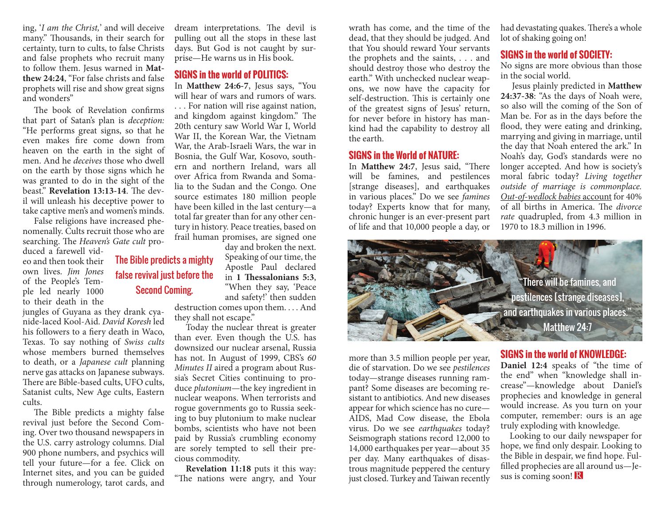ing, '*I am the Christ,*' and will deceive many." Thousands, in their search for certainty, turn to cults, to false Christs and false prophets who recruit many to follow them. Jesus warned in **Matthew 24:24**, "For false christs and false prophets will rise and show great signs and wonders"

The book of Revelation confirms that part of Satan's plan is *deception:* "He performs great signs, so that he even makes fire come down from heaven on the earth in the sight of men. And he *deceives* those who dwell on the earth by those signs which he was granted to do in the sight of the beast." **Revelation 13:13-14**. The devil will unleash his deceptive power to take captive men's and women's minds.

False religions have increased phenomenally. Cults recruit those who are searching. The *Heaven's Gate cult* pro-

> The Bible predicts a mighty false revival just before the

duced a farewell video and then took their own lives. *Jim Jones* of the People's Temple led nearly 1000 to their death in the

jungles of Guyana as they drank cyanide-laced Kool-Aid. *David Koresh* led his followers to a fiery death in Waco, Texas. To say nothing of *Swiss cults*  whose members burned themselves to death, or a *Japanese cult* planning nerve gas attacks on Japanese subways. There are Bible-based cults, UFO cults, Satanist cults, New Age cults, Eastern cults.

The Bible predicts a mighty false revival just before the Second Coming. Over two thousand newspapers in the U.S. carry astrology columns. Dial 900 phone numbers, and psychics will tell your future—for a fee. Click on Internet sites, and you can be guided through numerology, tarot cards, and

dream interpretations. The devil is pulling out all the stops in these last days. But God is not caught by surprise—He warns us in His book.

#### **SIGNS in the world of POLITICS:**

In **Matthew 24:6-7**, Jesus says, "You will hear of wars and rumors of wars.

. . . For nation will rise against nation, and kingdom against kingdom." The 20th century saw World War I, World War II, the Korean War, the Vietnam War, the Arab-Israeli Wars, the war in Bosnia, the Gulf War, Kosovo, southern and northern Ireland, wars all over Africa from Rwanda and Somalia to the Sudan and the Congo. One source estimates 180 million people have been killed in the last century—a total far greater than for any other century in history. Peace treaties, based on frail human promises, are signed one

day and broken the next. Speaking of our time, the Apostle Paul declared in **1 Thessalonians 5:3**, "When they say, 'Peace and safety!' then sudden destruction comes upon them. . . . And they shall not escape."

Today the nuclear threat is greater than ever. Even though the U.S. has downsized our nuclear arsenal, Russia has not. In August of 1999, CBS's *60 Minutes II* aired a program about Russia's Secret Cities continuing to produce *plutonium*—the key ingredient in nuclear weapons. When terrorists and rogue governments go to Russia seeking to buy plutonium to make nuclear bombs, scientists who have not been paid by Russia's crumbling economy are sorely tempted to sell their precious commodity.

**Revelation 11:18** puts it this way: "The nations were angry, and Your

wrath has come, and the time of the dead, that they should be judged. And that You should reward Your servants the prophets and the saints, . . . and should destroy those who destroy the earth." With unchecked nuclear weapons, we now have the capacity for self-destruction. This is certainly one of the greatest signs of Jesus' return, for never before in history has mankind had the capability to destroy all the earth.

#### **SIGNS in the World of NATURE:**

In **Matthew 24:7**, Jesus said, "There will be famines, and pestilences [strange diseases], and earthquakes in various places." Do we see *famines*  today? Experts know that for many, chronic hunger is an ever-present part of life and that 10,000 people a day, or had devastating quakes. There's a whole lot of shaking going on!

### **SIGNS in the world of SOCIETY:**

No signs are more obvious than those in the social world.

Jesus plainly predicted in **Matthew 24:37-38**: "As the days of Noah were, so also will the coming of the Son of Man be. For as in the days before the flood, they were eating and drinking, marrying and giving in marriage, until the day that Noah entered the ark." In Noah's day, God's standards were no longer accepted. And how is society's moral fabric today? *Living together outside of marriage is commonplace. Out-of-wedlock babies* account for 40% of all births in America. The *divorce rate* quadrupled, from 4.3 million in 1970 to 18.3 million in 1996.



more than 3.5 million people per year, die of starvation. Do we see *pestilences*  today—strange diseases running rampant? Some diseases are becoming resistant to antibiotics. And new diseases appear for which science has no cure— AIDS, Mad Cow disease, the Ebola virus. Do we see *earthquakes* today? Seismograph stations record 12,000 to 14,000 earthquakes per year—about 35 per day. Many earthquakes of disastrous magnitude peppered the century just closed. Turkey and Taiwan recently

### **SIGNS in the world of KNOWLEDGE:**

**Daniel 12:4** speaks of "the time of the end" when "knowledge shall increase"—knowledge about Daniel's prophecies and knowledge in general would increase. As you turn on your computer, remember: ours is an age truly exploding with knowledge.

Looking to our daily newspaper for hope, we find only despair. Looking to the Bible in despair, we find hope. Fulfilled prophecies are all around us—Jesus is coming soon! R